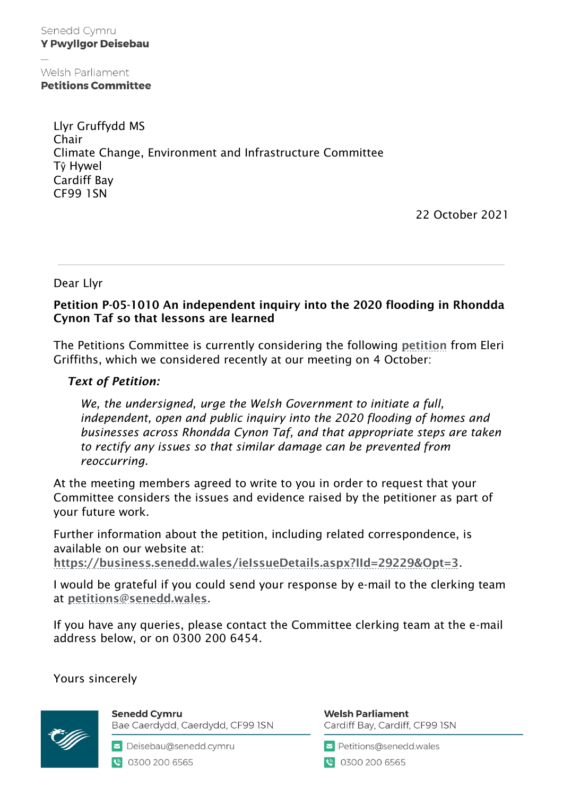Senedd Cymru **Y Pwyllgor Deisebau** 

Welsh Parliament **Petitions Committee** 

> Llyr Gruffydd MS Chair Climate Change, Environment and Infrastructure Committee Tŷ Hywel Cardiff Bay CF99 1SN

> > 22 October 2021

Dear Llyr

## Petition P-05-1010 An independent inquiry into the 2020 flooding in Rhondda Cynon Taf so that lessons are learned

The Petitions Committee is currently considering the following [petition](https://business.senedd.wales/mgIssueHistoryHome.aspx?IId=29229&Opt=0) from Eleri Griffiths, which we considered recently at our meeting on 4 October:

## *Text of Petition:*

 $\overline{a}$ 

*We, the undersigned, urge the Welsh Government to initiate a full, independent, open and public inquiry into the 2020 flooding of homes and businesses across Rhondda Cynon Taf, and that appropriate steps are taken to rectify any issues so that similar damage can be prevented from reoccurring.*

At the meeting members agreed to write to you in order to request that your Committee considers the issues and evidence raised by the petitioner as part of your future work.

Further information about the petition, including related correspondence, is available on our website at:

<https://business.senedd.wales/ieIssueDetails.aspx?IId=29229&Opt=3>.

I would be grateful if you could send your response by e-mail to the clerking team at [petitions@senedd.wales](mailto:petitions@senedd.wales).

If you have any queries, please contact the Committee clerking team at the e-mail address below, or on 0300 200 6454.

Yours sincerely



**Senedd Cymru** Bae Caerdydd, Caerdydd, CF99 ISN

Deisebau@senedd.cymru € 0300 200 6565

**Welsh Parliament** Cardiff Bay, Cardiff, CF99 ISN

Petitions@senedd.wales

● 0300 200 6565